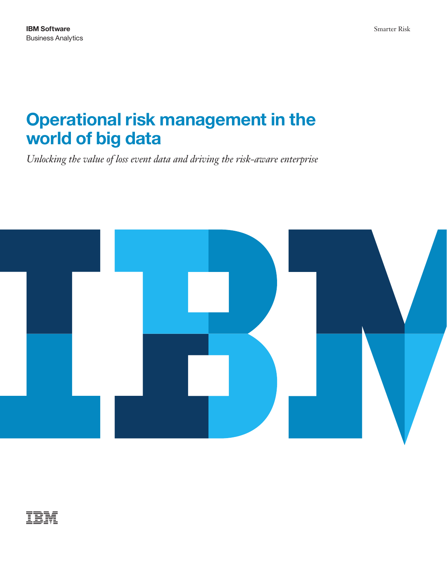# **Operational risk management in the world of big data**

*Unlocking the value of loss event data and driving the risk-aware enterprise* 



# TRM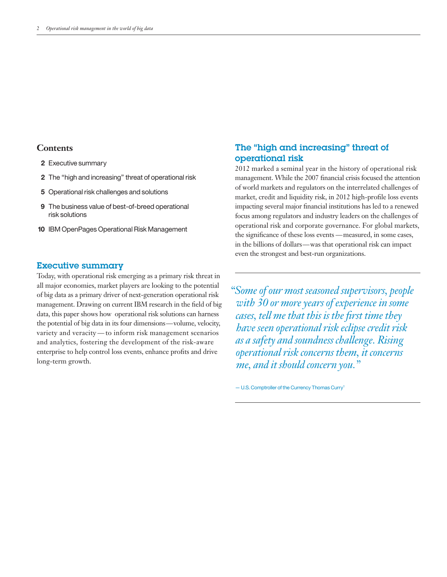# **Contents**

- **2** Executive summary
- **2** The "high and increasing" threat of operational risk
- **5** Operational risk challenges and solutions
- **9** The business value of best-of-breed operational risk solutions
- **10 IBM OpenPages Operational Risk Management**

## Executive summary

 the potential of big data in its four dimensions — volume, velocity, variety and veracity — to inform risk management scenarios Today, with operational risk emerging as a primary risk threat in all major economies, market players are looking to the potential of big data as a primary driver of next-generation operational risk management. Drawing on current IBM research in the field of big data, this paper shows how operational risk solutions can harness and analytics, fostering the development of the risk-aware enterprise to help control loss events, enhance profits and drive long-term growth.

# The "high and increasing" threat of operational risk

 the significance of these loss events — measured, in some cases, in the billions of dollars—was that operational risk can impact 2012 marked a seminal year in the history of operational risk management. While the 2007 financial crisis focused the attention of world markets and regulators on the interrelated challenges of market, credit and liquidity risk, in 2012 high-profile loss events impacting several major financial institutions has led to a renewed focus among regulators and industry leaders on the challenges of operational risk and corporate governance. For global markets, even the strongest and best-run organizations.

*"Some of our most seasoned supervisors, people with 30 or more years of experience in some cases, tell me that this is the first time they have seen operational risk eclipse credit risk as a safety and soundness challenge. Rising operational risk concerns them, it concerns me, and it should concern you."* 

 $-$  U.S. Comptroller of the Currency Thomas Curry<sup>1</sup>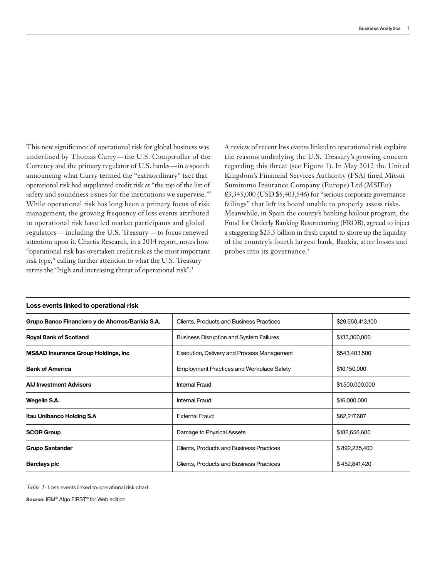underlined by Thomas Curry — the U.S. Comptroller of the Currency and the primary regulator of U.S. banks— in a speech regulators — including the U.S. Treasury — to focus renewed terms the "high and increasing threat of operational risk".<sup>3</sup> This new significance of operational risk for global business was announcing what Curry termed the "extraordinary" fact that operational risk had supplanted credit risk at "the top of the list of safety and soundness issues for the institutions we supervise."<sup>2</sup> While operational risk has long been a primary focus of risk management, the growing frequency of loss events attributed to operational risk have led market participants and global attention upon it. Chartis Research, in a 2014 report, notes how "operational risk has overtaken credit risk as the most important risk type," calling further attention to what the U.S. Treasury

 probes into its governance.4 A review of recent loss events linked to operational risk explains the reasons underlying the U.S. Treasury's growing concern regarding this threat (see Figure 1). In May 2012 the United Kingdom's Financial Services Authority (FSA) fined Mitsui Sumitomo Insurance Company (Europe) Ltd (MSIEu) £3,345,000 (USD \$5,403,546) for "serious corporate governance failings" that left its board unable to properly assess risks. Meanwhile, in Spain the county's banking bailout program, the Fund for Orderly Banking Restructuring (FROB), agreed to inject a staggering \$23.5 billion in fresh capital to shore up the liquidity of the country's fourth largest bank, Bankia, after losses and

| Grupo Banco Financiero y de Ahorros/Bankia S.A. | <b>Clients, Products and Business Practices</b>  | \$29,550,413,100 |
|-------------------------------------------------|--------------------------------------------------|------------------|
| <b>Royal Bank of Scotland</b>                   | <b>Business Disruption and System Failures</b>   | \$133,300,000    |
| <b>MS&amp;AD Insurance Group Holdings, Inc.</b> | Execution, Delivery and Process Management       | \$543,403,500    |
| <b>Bank of America</b>                          | <b>Employment Practices and Workplace Safety</b> | \$10,150,000     |
| <b>AIJ Investment Advisors</b>                  | <b>Internal Fraud</b>                            | \$1,500,000,000  |
| Wegelin S.A.                                    | <b>Internal Fraud</b>                            | \$16,000,000     |
| <b>Itau Unibanco Holding S.A</b>                | <b>External Fraud</b>                            | \$62,217,687     |
| <b>SCOR Group</b>                               | Damage to Physical Assets                        | \$182,656,600    |
| <b>Grupo Santander</b>                          | <b>Clients, Products and Business Practices</b>  | \$892,235,400    |
| <b>Barclays plc</b>                             | <b>Clients, Products and Business Practices</b>  | \$452,841,420    |

## **Loss events linked to operational risk**

Table 1: Loss events linked to operational risk chart

**Source:** IBM® Algo FIRST® for Web edition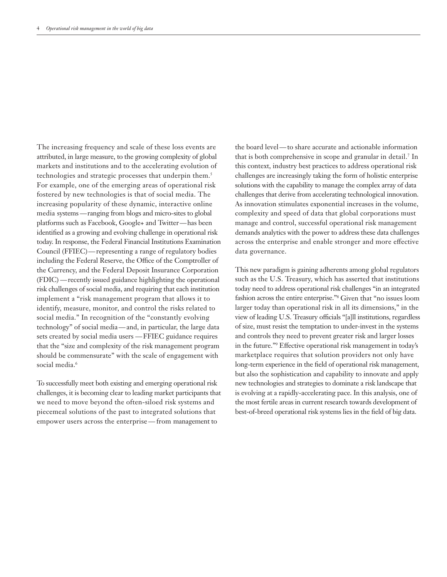media systems — ranging from blogs and micro-sites to global platforms such as Facebook, Google+ and Twitter —has been Council (FFIEC) — representing a range of regulatory bodies (FDIC) — recently issued guidance highlighting the operational technology" of social media — and, in particular, the large data sets created by social media users — FFIEC guidance requires The increasing frequency and scale of these loss events are attributed, in large measure, to the growing complexity of global markets and institutions and to the accelerating evolution of technologies and strategic processes that underpin them.<sup>5</sup> For example, one of the emerging areas of operational risk fostered by new technologies is that of social media. The increasing popularity of these dynamic, interactive online identified as a growing and evolving challenge in operational risk today. In response, the Federal Financial Institutions Examination including the Federal Reserve, the Office of the Comptroller of the Currency, and the Federal Deposit Insurance Corporation risk challenges of social media, and requiring that each institution implement a "risk management program that allows it to identify, measure, monitor, and control the risks related to social media." In recognition of the "constantly evolving that the "size and complexity of the risk management program should be commensurate" with the scale of engagement with social media.<sup>6</sup>

 empower users across the enterprise — from management to To successfully meet both existing and emerging operational risk challenges, it is becoming clear to leading market participants that we need to move beyond the often-siloed risk systems and piecemeal solutions of the past to integrated solutions that

 the board level—to share accurate and actionable information that is both comprehensive in scope and granular in detail.7 In this context, industry best practices to address operational risk challenges are increasingly taking the form of holistic enterprise solutions with the capability to manage the complex array of data challenges that derive from accelerating technological innovation. As innovation stimulates exponential increases in the volume, complexity and speed of data that global corporations must manage and control, successful operational risk management demands analytics with the power to address these data challenges across the enterprise and enable stronger and more effective data governance.

 larger today than operational risk in all its dimensions," in the This new paradigm is gaining adherents among global regulators such as the U.S. Treasury, which has asserted that institutions today need to address operational risk challenges "in an integrated fashion across the entire enterprise."8 Given that "no issues loom view of leading U.S. Treasury officials "[a]ll institutions, regardless of size, must resist the temptation to under-invest in the systems and controls they need to prevent greater risk and larger losses in the future."9 Effective operational risk management in today's marketplace requires that solution providers not only have long-term experience in the field of operational risk management, but also the sophistication and capability to innovate and apply new technologies and strategies to dominate a risk landscape that is evolving at a rapidly-accelerating pace. In this analysis, one of the most fertile areas in current research towards development of best-of-breed operational risk systems lies in the field of big data.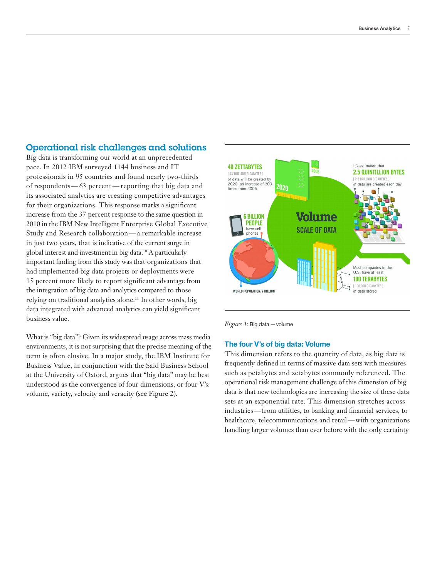# Operational risk challenges and solutions

 professionals in 95 countries and found nearly two-thirds of respondents — 63 percent — reporting that big data and for their organizations. This response marks a significant increase from the 37 percent response to the same question in 2010 in the IBM New Intelligent Enterprise Global Executive Study and Research collaboration — a remarkable increase important finding from this study was that organizations that 15 percent more likely to report significant advantage from the integration of big data and analytics compared to those Big data is transforming our world at an unprecedented pace. In 2012 IBM surveyed 1144 business and IT its associated analytics are creating competitive advantages in just two years, that is indicative of the current surge in global interest and investment in big data.10 A particularly had implemented big data projects or deployments were relying on traditional analytics alone.<sup>11</sup> In other words, big data integrated with advanced analytics can yield significant business value.

What is "big data"? Given its widespread usage across mass media environments, it is not surprising that the precise meaning of the term is often elusive. In a major study, the IBM Institute for Business Value, in conjunction with the Said Business School at the University of Oxford, argues that "big data" may be best understood as the convergence of four dimensions, or four V's: volume, variety, velocity and veracity (see Figure 2).



*Figure 1*: Big data — volume

## **The four V's of big data: Volume**

 industries —from utilities, to banking and financial services, to healthcare, telecommunications and retail — with organizations This dimension refers to the quantity of data, as big data is frequently defined in terms of massive data sets with measures such as petabytes and zetabytes commonly referenced. The operational risk management challenge of this dimension of big data is that new technologies are increasing the size of these data sets at an exponential rate. This dimension stretches across handling larger volumes than ever before with the only certainty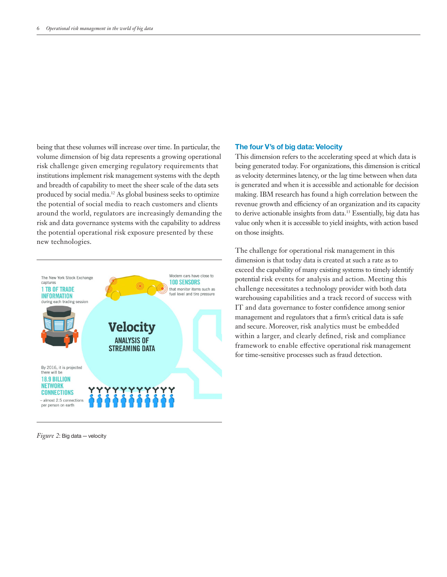being that these volumes will increase over time. In particular, the volume dimension of big data represents a growing operational risk challenge given emerging regulatory requirements that institutions implement risk management systems with the depth and breadth of capability to meet the sheer scale of the data sets produced by social media.12 As global business seeks to optimize the potential of social media to reach customers and clients around the world, regulators are increasingly demanding the risk and data governance systems with the capability to address the potential operational risk exposure presented by these new technologies.



#### *Figure 2*: Big data — velocity

#### **The four V's of big data: Velocity**

This dimension refers to the accelerating speed at which data is being generated today. For organizations, this dimension is critical as velocity determines latency, or the lag time between when data is generated and when it is accessible and actionable for decision making. IBM research has found a high correlation between the revenue growth and efficiency of an organization and its capacity to derive actionable insights from data.13 Essentially, big data has value only when it is accessible to yield insights, with action based on those insights.

 IT and data governance to foster confidence among senior and secure. Moreover, risk analytics must be embedded framework to enable effective operational risk management The challenge for operational risk management in this dimension is that today data is created at such a rate as to exceed the capability of many existing systems to timely identify potential risk events for analysis and action. Meeting this challenge necessitates a technology provider with both data warehousing capabilities and a track record of success with management and regulators that a firm's critical data is safe within a larger, and clearly defined, risk and compliance for time-sensitive processes such as fraud detection.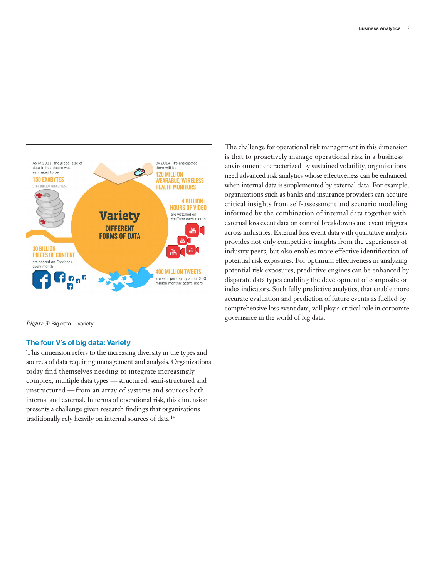

*Figure 3*: Big data — variety

#### **The four V's of big data: Variety**

 complex, multiple data types — structured, semi-structured and unstructured — from an array of systems and sources both This dimension refers to the increasing diversity in the types and sources of data requiring management and analysis. Organizations today find themselves needing to integrate increasingly internal and external. In terms of operational risk, this dimension presents a challenge given research findings that organizations traditionally rely heavily on internal sources of data.14

 index indicators. Such fully predictive analytics, that enable more The challenge for operational risk management in this dimension is that to proactively manage operational risk in a business environment characterized by sustained volatility, organizations need advanced risk analytics whose effectiveness can be enhanced when internal data is supplemented by external data. For example, organizations such as banks and insurance providers can acquire critical insights from self-assessment and scenario modeling informed by the combination of internal data together with external loss event data on control breakdowns and event triggers across industries. External loss event data with qualitative analysis provides not only competitive insights from the experiences of industry peers, but also enables more effective identification of potential risk exposures. For optimum effectiveness in analyzing potential risk exposures, predictive engines can be enhanced by disparate data types enabling the development of composite or accurate evaluation and prediction of future events as fuelled by comprehensive loss event data, will play a critical role in corporate governance in the world of big data.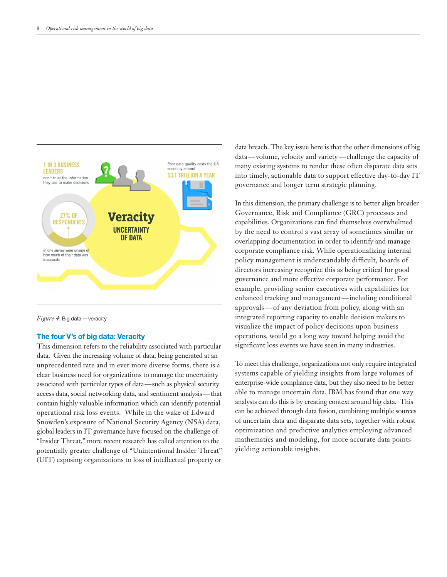

*Figure 4*: Big data — veracity

#### **The four V's of big data: Veracity**

 associated with particular types of data—such as physical security access data, social networking data, and sentiment analysis—that This dimension refers to the reliability associated with particular data. Given the increasing volume of data, being generated at an unprecedented rate and in ever more diverse forms, there is a clear business need for organizations to manage the uncertainty contain highly valuable information which can identify potential operational risk loss events. While in the wake of Edward Snowden's exposure of National Security Agency (NSA) data, global leaders in IT governance have focused on the challenge of "Insider Threat," more recent research has called attention to the potentially greater challenge of "Unintentional Insider Threat" (UIT) exposing organizations to loss of intellectual property or

 data — volume, velocity and variety — challenge the capacity of data breach. The key issue here is that the other dimensions of big many existing systems to render these often disparate data sets into timely, actionable data to support effective day-to-day IT governance and longer term strategic planning.

 enhanced tracking and management—including conditional approvals — of any deviation from policy, along with an In this dimension, the primary challenge is to better align broader Governance, Risk and Compliance (GRC) processes and capabilities. Organizations can find themselves overwhelmed by the need to control a vast array of sometimes similar or overlapping documentation in order to identify and manage corporate compliance risk. While operationalizing internal policy management is understandably difficult, boards of directors increasing recognize this as being critical for good governance and more effective corporate performance. For example, providing senior executives with capabilities for integrated reporting capacity to enable decision makers to visualize the impact of policy decisions upon business operations, would go a long way toward helping avoid the significant loss events we have seen in many industries.

To meet this challenge, organizations not only require integrated systems capable of yielding insights from large volumes of enterprise-wide compliance data, but they also need to be better able to manage uncertain data. IBM has found that one way analysts can do this is by creating context around big data. This can be achieved through data fusion, combining multiple sources of uncertain data and disparate data sets, together with robust optimization and predictive analytics employing advanced mathematics and modeling, for more accurate data points yielding actionable insights.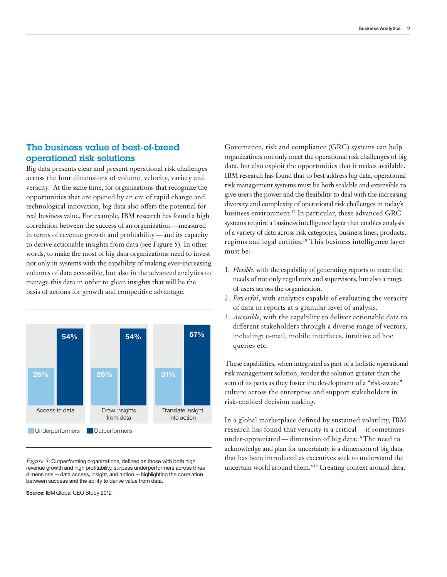# The business value of best-of-breed operational risk solutions

 correlation between the success of an organization—measured in terms of revenue growth and profitability — and its capacity Big data presents clear and present operational risk challenges across the four dimensions of volume, velocity, variety and veracity. At the same time, for organizations that recognize the opportunities that are opened by an era of rapid change and technological innovation, big data also offers the potential for real business value. For example, IBM research has found a high to derive actionable insights from data (see Figure 5). In other words, to make the most of big data organizations need to invest not only in systems with the capability of making ever-increasing volumes of data accessible, but also in the advanced analytics to manage this data in order to glean insights that will be the basis of actions for growth and competitive advantage.



 dimensions — data access, insight, and action — highlighting the correlation *Figure 5*: Outperforming organizations, defined as those with both high revenue growth and high profitability, surpass underperformers across three between success and the ability to derive value from data.

**Source:** IBM Global CEO Study 2012

Governance, risk and compliance (GRC) systems can help organizations not only meet the operational risk challenges of big data, but also exploit the opportunities that it makes available. IBM research has found that to best address big data, operational risk management systems must be both scalable and extensible to give users the power and the flexibility to deal with the increasing diversity and complexity of operational risk challenges in today's business environment.17 In particular, these advanced GRC systems require a business intelligence layer that enables analysis of a variety of data across risk categories, business lines, products, regions and legal entities.<sup>18</sup> This business intelligence layer must be:

- 1. Flexible, with the capability of generating reports to meet the needs of not only regulators and supervisors, but also a range of users across the organization.
- 2. *Powerful*, with analytics capable of evaluating the veracity of data in reports at a granular level of analysis.
- 3. *Accessible*, with the capability to deliver actionable data to different stakeholders through a diverse range of vectors, including: e-mail, mobile interfaces, intuitive ad hoc queries etc.

These capabilities, when integrated as part of a holistic operational risk management solution, render the solution greater than the sum of its parts as they foster the development of a "risk-aware" culture across the enterprise and support stakeholders in risk-enabled decision making.

 research has found that veracity is a critical — if sometimes under-appreciated — dimension of big data: "The need to In a global marketplace defined by sustained volatility, IBM acknowledge and plan for uncertainty is a dimension of big data that has been introduced as executives seek to understand the uncertain world around them."19 Creating context around data,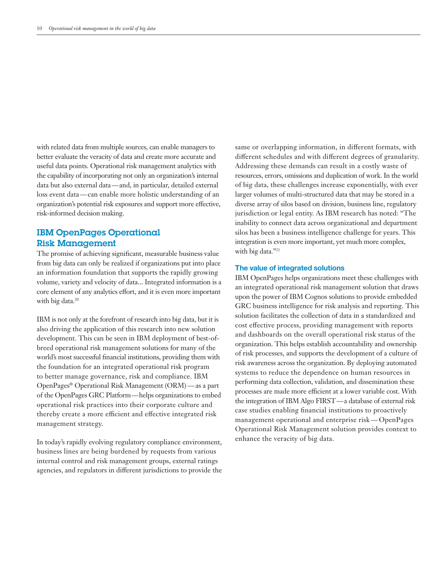data but also external data—and, in particular, detailed external loss event data — can enable more holistic understanding of an with related data from multiple sources, can enable managers to better evaluate the veracity of data and create more accurate and useful data points. Operational risk management analytics with the capability of incorporating not only an organization's internal organization's potential risk exposures and support more effective, risk-informed decision making.

# IBM OpenPages Operational Risk Management

The promise of achieving significant, measurable business value from big data can only be realized if organizations put into place an information foundation that supports the rapidly growing volume, variety and velocity of data... Integrated information is a core element of any analytics effort, and it is even more important with big data.<sup>20</sup>

 OpenPages® Operational Risk Management (ORM) — as a part of the OpenPages GRC Platform —helps organizations to embed IBM is not only at the forefront of research into big data, but it is also driving the application of this research into new solution development. This can be seen in IBM deployment of best-ofbreed operational risk management solutions for many of the world's most successful financial institutions, providing them with the foundation for an integrated operational risk program to better manage governance, risk and compliance. IBM operational risk practices into their corporate culture and thereby create a more efficient and effective integrated risk management strategy.

In today's rapidly evolving regulatory compliance environment, business lines are being burdened by requests from various internal control and risk management groups, external ratings agencies, and regulators in different jurisdictions to provide the

same or overlapping information, in different formats, with different schedules and with different degrees of granularity. Addressing these demands can result in a costly waste of resources, errors, omissions and duplication of work. In the world of big data, these challenges increase exponentially, with ever larger volumes of multi-structured data that may be stored in a diverse array of silos based on division, business line, regulatory jurisdiction or legal entity. As IBM research has noted: "The inability to connect data across organizational and department silos has been a business intelligence challenge for years. This integration is even more important, yet much more complex, with big data."<sup>21</sup>

## **The value of integrated solutions**

 management operational and enterprise risk — OpenPages IBM OpenPages helps organizations meet these challenges with an integrated operational risk management solution that draws upon the power of IBM Cognos solutions to provide embedded GRC business intelligence for risk analysis and reporting. This solution facilitates the collection of data in a standardized and cost effective process, providing management with reports and dashboards on the overall operational risk status of the organization. This helps establish accountability and ownership of risk processes, and supports the development of a culture of risk awareness across the organization. By deploying automated systems to reduce the dependence on human resources in performing data collection, validation, and dissemination these processes are made more efficient at a lower variable cost. With the integration of IBM Algo FIRST — a database of external risk case studies enabling financial institutions to proactively Operational Risk Management solution provides context to enhance the veracity of big data.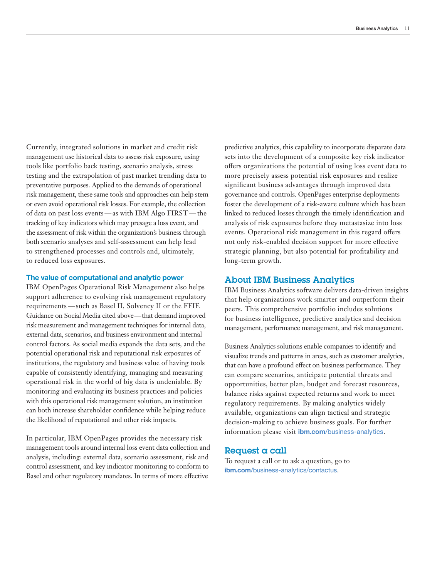of data on past loss events — as with IBM Algo FIRST — the Currently, integrated solutions in market and credit risk management use historical data to assess risk exposure, using tools like portfolio back testing, scenario analysis, stress testing and the extrapolation of past market trending data to preventative purposes. Applied to the demands of operational risk management, these same tools and approaches can help stem or even avoid operational risk losses. For example, the collection tracking of key indicators which may presage a loss event, and the assessment of risk within the organization's business through both scenario analyses and self-assessment can help lead to strengthened processes and controls and, ultimately, to reduced loss exposures.

## **The value of computational and analytic power**

 requirements — such as Basel II, Solvency II or the FFIE Guidance on Social Media cited above — that demand improved IBM OpenPages Operational Risk Management also helps support adherence to evolving risk management regulatory risk measurement and management techniques for internal data, external data, scenarios, and business environment and internal control factors. As social media expands the data sets, and the potential operational risk and reputational risk exposures of institutions, the regulatory and business value of having tools capable of consistently identifying, managing and measuring operational risk in the world of big data is undeniable. By monitoring and evaluating its business practices and policies with this operational risk management solution, an institution can both increase shareholder confidence while helping reduce the likelihood of reputational and other risk impacts.

In particular, IBM OpenPages provides the necessary risk management tools around internal loss event data collection and analysis, including: external data, scenario assessment, risk and control assessment, and key indicator monitoring to conform to Basel and other regulatory mandates. In terms of more effective

predictive analytics, this capability to incorporate disparate data sets into the development of a composite key risk indicator offers organizations the potential of using loss event data to more precisely assess potential risk exposures and realize significant business advantages through improved data governance and controls. OpenPages enterprise deployments foster the development of a risk-aware culture which has been linked to reduced losses through the timely identification and analysis of risk exposures before they metastasize into loss events. Operational risk management in this regard offers not only risk-enabled decision support for more effective strategic planning, but also potential for profitability and long-term growth.

## About IBM Business Analytics

IBM Business Analytics software delivers data-driven insights that help organizations work smarter and outperform their peers. This comprehensive portfolio includes solutions for business intelligence, predictive analytics and decision management, performance management, and risk management.

Business Analytics solutions enable companies to identify and visualize trends and patterns in areas, such as customer analytics, that can have a profound effect on business performance. They can compare scenarios, anticipate potential threats and opportunities, better plan, budget and forecast resources, balance risks against expected returns and work to meet regulatory requirements. By making analytics widely available, organizations can align tactical and strategic decision-making to achieve business goals. For further information please visit **ibm.com**[/business-analy tics](http://www.ibm.com/business-analytics).

## Request a call

To request a call or to ask a question, go to **ibm.com**/business-analytics/contactus.